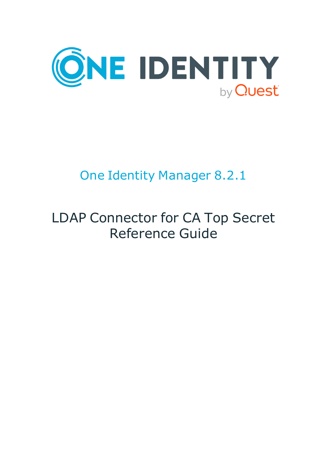

# One Identity Manager 8.2.1

# LDAP Connector for CA Top Secret Reference Guide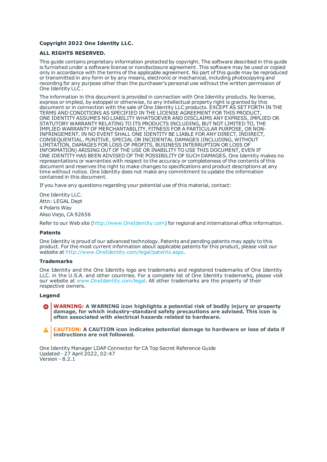#### **Copyright 2022 One Identity LLC.**

#### **ALL RIGHTS RESERVED.**

This guide contains proprietary information protected by copyright. The software described in this guide is furnished under a software license or nondisclosure agreement. This software may be used or copied only in accordance with the terms of the applicable agreement. No part of this guide may be reproduced or transmitted in any form or by any means, electronic or mechanical, including photocopying and recording for any purpose other than the purchaser's personal use without the written permission of One Identity LLC .

The information in this document is provided in connection with One Identity products. No license, express or implied, by estoppel or otherwise, to any intellectual property right is granted by this document or in connection with the sale of One Identity LLC products. EXCEPT AS SET FORTH IN THE TERMS AND CONDITIONS AS SPECIFIED IN THE LICENSE AGREEMENT FOR THIS PRODUCT, ONE IDENTITY ASSUMES NO LIABILITY WHATSOEVER AND DISCLAIMS ANY EXPRESS, IMPLIED OR STATUTORY WARRANTY RELATING TO ITS PRODUCTS INCLUDING, BUT NOT LIMITED TO, THE IMPLIED WARRANTY OF MERCHANTABILITY, FITNESS FOR A PARTICULAR PURPOSE, OR NON-INFRINGEMENT. IN NO EVENT SHALL ONE IDENTITY BE LIABLE FOR ANY DIRECT, INDIRECT, CONSEQUENTIAL, PUNITIVE, SPECIAL OR INCIDENTAL DAMAGES (INCLUDING, WITHOUT LIMITATION, DAMAGES FOR LOSS OF PROFITS, BUSINESS INTERRUPTION OR LOSS OF INFORMATION) ARISING OUT OF THE USE OR INABILITY TO USE THIS DOCUMENT, EVEN IF ONE IDENTITY HAS BEEN ADVISED OF THE POSSIBILITY OF SUCH DAMAGES. One Identity makes no representations or warranties with respect to the accuracy or completeness of the contents of this document and reserves the right to make changes to specifications and product descriptions at any time without notice. One Identity does not make any commitment to update the information contained in this document.

If you have any questions regarding your potential use of this material, contact:

One Identity LLC. Attn: LEGAL Dept 4 Polaris Way Aliso Viejo, CA 92656

Refer to our Web site ([http://www.OneIdentity.com](http://www.oneidentity.com/)) for regional and international office information.

#### **Patents**

One Identity is proud of our advanced technology. Patents and pending patents may apply to this product. For the most current information about applicable patents for this product, please visit our website at [http://www.OneIdentity.com/legal/patents.aspx](http://www.oneidentity.com/legal/patents.aspx).

#### **Trademarks**

One Identity and the One Identity logo are trademarks and registered trademarks of One Identity LLC. in the U.S.A. and other countries. For a complete list of One Identity trademarks, please visit our website at [www.OneIdentity.com/legal](http://www.oneidentity.com/legal). All other trademarks are the property of their respective owners.

#### **Legend**

**WARNING: A WARNING icon highlights a potential risk of bodily injury or property damage, for which industry-standard safety precautions are advised. This icon is often associated with electrical hazards related to hardware.**

**CAUTION: A CAUTION icon indicates potential damage to hardware or loss of data if** A **instructions are not followed.**

One Identity Manager LDAP Connector for CA Top Secret Reference Guide Updated - 27 April 2022, 02:47 Version - 8.2.1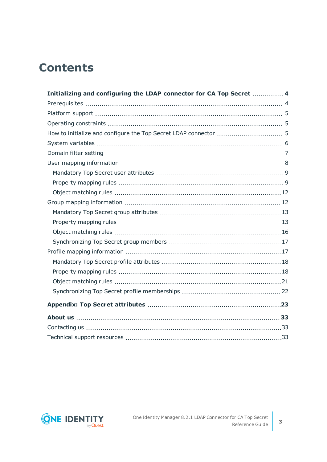# **Contents**

| Initializing and configuring the LDAP connector for CA Top Secret  4 |  |
|----------------------------------------------------------------------|--|
|                                                                      |  |
|                                                                      |  |
|                                                                      |  |
|                                                                      |  |
|                                                                      |  |
|                                                                      |  |
|                                                                      |  |
|                                                                      |  |
|                                                                      |  |
|                                                                      |  |
|                                                                      |  |
|                                                                      |  |
|                                                                      |  |
|                                                                      |  |
|                                                                      |  |
|                                                                      |  |
|                                                                      |  |
|                                                                      |  |
|                                                                      |  |
|                                                                      |  |
|                                                                      |  |
|                                                                      |  |
|                                                                      |  |
|                                                                      |  |

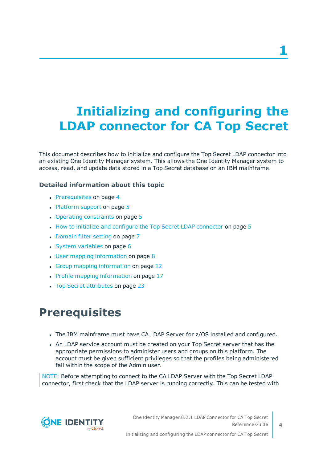# <span id="page-3-0"></span>**Initializing and configuring the LDAP connector for CA Top Secret**

This document describes how to initialize and configure the Top Secret LDAP connector into an existing One Identity Manager system. This allows the One Identity Manager system to access, read, and update data stored in a Top Secret database on an IBM mainframe.

#### **Detailed information about this topic**

- [Prerequisites](#page-3-1) on page 4
- $\cdot$  [Platform](#page-4-0) support on page 5
- Operating [constraints](#page-4-1) on page 5
- $\bullet$  How to initialize and configure the Top Secret LDAP [connector](#page-4-2) on page  $5$
- [Domain](#page-6-0) filter setting on page 7
- $\cdot$  System [variables](#page-5-0) on page 6
- $\cdot$  User mapping [information](#page-7-0) on page 8
- Group mapping [information](#page-11-1) on page 12
- Profile mapping [information](#page-16-1) on page 17
- <span id="page-3-1"></span>• Top Secret [attributes](#page-22-0) on page 23

## **Prerequisites**

- The IBM mainframe must have CA LDAP Server for z/OS installed and configured.
- An LDAP service account must be created on your Top Secret server that has the appropriate permissions to administer users and groups on this platform. The account must be given sufficient privileges so that the profiles being administered fall within the scope of the Admin user.

NOTE: Before attempting to connect to the CA LDAP Server with the Top Secret LDAP connector, first check that the LDAP server is running correctly. This can be tested with

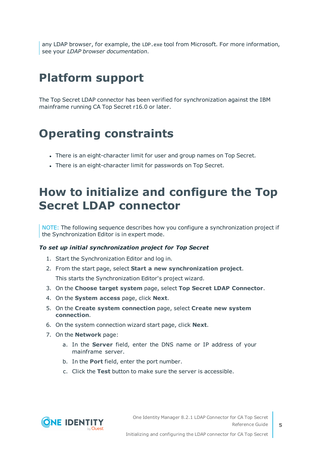any LDAP browser, for example, the LDP.exe tool from Microsoft. For more information, see your *LDAP browser documentation*.

# <span id="page-4-0"></span>**Platform support**

The Top Secret LDAP connector has been verified for synchronization against the IBM mainframe running CA Top Secret r16.0 or later.

## <span id="page-4-1"></span>**Operating constraints**

- There is an eight-character limit for user and group names on Top Secret.
- <span id="page-4-2"></span>There is an eight-character limit for passwords on Top Secret.

## **How to initialize and configure the Top Secret LDAP connector**

NOTE: The following sequence describes how you configure a synchronization project if the Synchronization Editor is in expert mode.

#### *To set up initial synchronization project for Top Secret*

- 1. Start the Synchronization Editor and log in.
- 2. From the start page, select **Start a new synchronization project**.

This starts the Synchronization Editor's project wizard.

- 3. On the **Choose target system** page, select **Top Secret LDAP Connector**.
- 4. On the **System access** page, click **Next**.
- 5. On the **Create system connection** page, select **Create new system connection**.
- 6. On the system connection wizard start page, click **Next**.
- 7. On the **Network** page:
	- a. In the **Server** field, enter the DNS name or IP address of your mainframe server.
	- b. In the **Port** field, enter the port number.
	- c. Click the **Test** button to make sure the server is accessible.

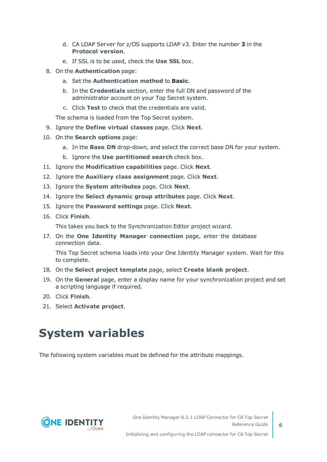- d. CA LDAP Server for z/OS supports LDAP v3. Enter the number **3** in the **Protocol version**.
- e. If SSL is to be used, check the **Use SSL** box.
- 8. On the **Authentication** page:
	- a. Set the **Authentication method** to **Basic**.
	- b. In the **Credentials** section, enter the full DN and password of the administrator account on your Top Secret system.
	- c. Click **Test** to check that the credentials are valid.

The schema is loaded from the Top Secret system.

- 9. Ignore the **Define virtual classes** page. Click **Next**.
- 10. On the **Search options** page:
	- a. In the **Base DN** drop-down, and select the correct base DN for your system.
	- b. Ignore the **Use partitioned search** check box.
- 11. Ignore the **Modification capabilities** page. Click **Next**.
- 12. Ignore the **Auxiliary class assignment** page. Click **Next**.
- 13. Ignore the **System attributes** page. Click **Next**.
- 14. Ignore the **Select dynamic group attributes** page. Click **Next**.
- 15. Ignore the **Password settings** page. Click **Next**.
- 16. Click **Finish**.

This takes you back to the Synchronization Editor project wizard.

17. On the **One Identity Manager connection** page, enter the database connection data.

This Top Secret schema loads into your One Identity Manager system. Wait for this to complete.

- 18. On the **Select project template** page, select **Create blank project**.
- 19. On the **General** page, enter a display name for your synchronization project and set a scripting language if required.
- 20. Click **Finish**.
- <span id="page-5-0"></span>21. Select **Activate project**.

## **System variables**

The following system variables must be defined for the attribute mappings.

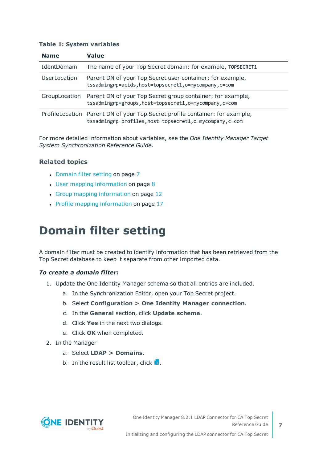#### **Table 1: System variables**

| <b>Name</b>   | Value                                                                                                                                     |
|---------------|-------------------------------------------------------------------------------------------------------------------------------------------|
| IdentDomain   | The name of your Top Secret domain: for example, TOPSECRET1                                                                               |
| UserLocation  | Parent DN of your Top Secret user container: for example,<br>tssadmingrp=acids, host=topsecret1, o=mycompany, c=com                       |
| GroupLocation | Parent DN of your Top Secret group container: for example,<br>tssadmingrp=groups, host=topsecret1, o=mycompany, c=com                     |
|               | ProfileLocation Parent DN of your Top Secret profile container: for example,<br>tssadmingrp=profiles, host=topsecret1, o=mycompany, c=com |

For more detailed information about variables, see the *One Identity Manager Target System Synchronization Reference Guide*.

#### **Related topics**

- [Domain](#page-6-0) filter setting on page 7
- $\cdot$  User mapping [information](#page-7-0) on page 8
- Group mapping [information](#page-11-1) on page 12
- Profile mapping [information](#page-16-1) on page 17

# <span id="page-6-0"></span>**Domain filter setting**

A domain filter must be created to identify information that has been retrieved from the Top Secret database to keep it separate from other imported data.

#### *To create a domain filter:*

- 1. Update the One Identity Manager schema so that all entries are included.
	- a. In the Synchronization Editor, open your Top Secret project.
	- b. Select **Configuration > One Identity Manager connection**.
	- c. In the **General** section, click **Update schema**.
	- d. Click **Yes** in the next two dialogs.
	- e. Click **OK** when completed.
- 2. In the Manager
	- a. Select **LDAP > Domains**.
	- b. In the result list toolbar, click  $\mathbf{H}$ .

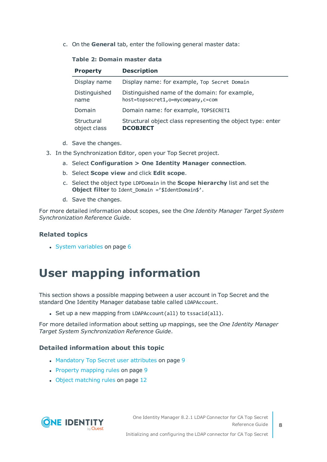c. On the **General** tab, enter the following general master data:

#### **Table 2: Domain master data**

| <b>Property</b>            | <b>Description</b>                                                                  |
|----------------------------|-------------------------------------------------------------------------------------|
| Display name               | Display name: for example, Top Secret Domain                                        |
| Distinguished<br>name      | Distinguished name of the domain: for example,<br>host=topsecret1,o=mycompany,c=com |
| Domain                     | Domain name: for example, TOPSECRET1                                                |
| Structural<br>object class | Structural object class representing the object type: enter<br><b>DCOBJECT</b>      |

- d. Save the changes.
- 3. In the Synchronization Editor, open your Top Secret project.
	- a. Select **Configuration > One Identity Manager connection**.
	- b. Select **Scope view** and click **Edit scope**.
	- c. Select the object type LDPDomain in the **Scope hierarchy** list and set the **Object filter** to Ident Domain ='\$IdentDomain\$'.
	- d. Save the changes.

For more detailed information about scopes, see the *One Identity Manager Target System Synchronization Reference Guide*.

#### **Related topics**

 $\cdot$  System [variables](#page-5-0) on page 6

# <span id="page-7-0"></span>**User mapping information**

This section shows a possible mapping between a user account in Top Secret and the standard One Identity Manager database table called LDAPAccount.

- Set up a new mapping from LDAPAccount(all) to tssacid(all).

For more detailed information about setting up mappings, see the *One Identity Manager Target System Synchronization Reference Guide*.

#### **Detailed information about this topic**

- [Mandatory](#page-8-0) Top Secret user attributes on page 9
- Property [mapping](#page-8-1) rules on page 9
- Object [matching](#page-11-0) rules on page 12

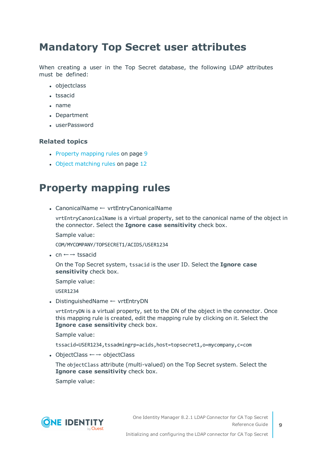### <span id="page-8-0"></span>**Mandatory Top Secret user attributes**

When creating a user in the Top Secret database, the following LDAP attributes must be defined:

- objectclass
- tssacid
- $\bullet$  name
- Department
- <sup>l</sup> userPassword

#### **Related topics**

- Property [mapping](#page-8-1) rules on page 9
- Object [matching](#page-11-0) rules on page 12

### <span id="page-8-1"></span>**Property mapping rules**

<sup>l</sup> CanonicalName ← vrtEntryCanonicalName

vrtEntryCanonicalName is a virtual property, set to the canonical name of the object in the connector. Select the **Ignore case sensitivity** check box.

Sample value:

COM/MYCOMPANY/TOPSECRET1/ACIDS/USER1234

• cn  $\leftarrow$  → tssacid

On the Top Secret system, tssacid is the user ID. Select the **Ignore case sensitivity** check box.

Sample value:

USER1234

• DistinguishedName ← vrtEntryDN

vrtEntryDN is a virtual property, set to the DN of the object in the connector. Once this mapping rule is created, edit the mapping rule by clicking on it. Select the **Ignore case sensitivity** check box.

Sample value:

tssacid=USER1234,tssadmingrp=acids,host=topsecret1,o=mycompany,c=com

• ObjectClass  $\leftarrow \rightarrow$  objectClass

The objectClass attribute (multi-valued) on the Top Secret system. Select the **Ignore case sensitivity** check box.

Sample value:



**9**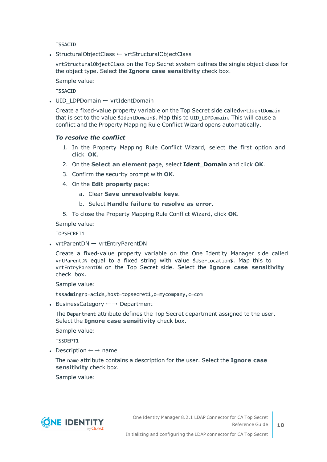TSSACID

• StructuralObjectClass ← vrtStructuralObjectClass

vrtStructuralObjectClass on the Top Secret system defines the single object class for the object type. Select the **Ignore case sensitivity** check box.

Sample value:

**TSSACID** 

• UID LDPDomain ← vrtIdentDomain

Create a fixed-value property variable on the Top Secret side calledvrtIdentDomain that is set to the value \$IdentDomain\$. Map this to UID LDPDomain. This will cause a conflict and the Property Mapping Rule Conflict Wizard opens automatically.

#### *To resolve the conflict*

- 1. In the Property Mapping Rule Conflict Wizard, select the first option and click **OK**.
- 2. On the **Select an element** page, select **Ident\_Domain** and click **OK**.
- 3. Confirm the security prompt with **OK**.
- 4. On the **Edit property** page:
	- a. Clear **Save unresolvable keys**.
	- b. Select **Handle failure to resolve as error**.
- 5. To close the Property Mapping Rule Conflict Wizard, click **OK**.

Sample value:

TOPSECRET1

• vrtParentDN  $\rightarrow$  vrtEntryParentDN

Create a fixed-value property variable on the One Identity Manager side called vrtParentDN equal to a fixed string with value \$UserLocation\$. Map this to vrtEntryParentDN on the Top Secret side. Select the **Ignore case sensitivity** check box.

Sample value:

tssadmingrp=acids,host=topsecret1,o=mycompany,c=com

• BusinessCategory  $\leftarrow$  → Department

The Department attribute defines the Top Secret department assigned to the user. Select the **Ignore case sensitivity** check box.

Sample value:

TSSDEPT1

• Description  $\leftarrow$  → name

The name attribute contains a description for the user. Select the **Ignore case sensitivity** check box.

Sample value:

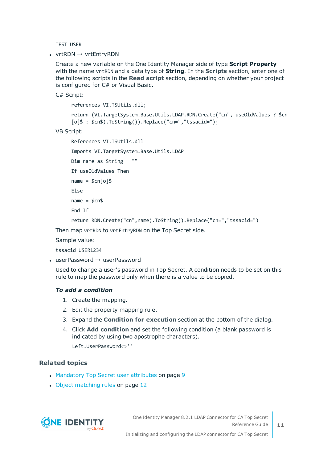TEST USER

•  $vrtRDN \rightarrow vrtEntryRDN$ 

Create a new variable on the One Identity Manager side of type **Script Property** with the name vrtRDN and a data type of **String**. In the **Scripts** section, enter one of the following scripts in the **Read script** section, depending on whether your project is configured for C# or Visual Basic.

C# Script:

references VI.TSUtils.dll;

return (VI.TargetSystem.Base.Utils.LDAP.RDN.Create("cn", useOldValues ? \$cn [o]\$ : \$cn\$).ToString()).Replace("cn=","tssacid=");

VB Script:

```
References VI.TSUtils.dll
Imports VI.TargetSystem.Base.Utils.LDAP
Dim name as String = ""
If useOldValues Then
name = $cn[o]$
Else
name = $cn$End If
```
return RDN.Create("cn",name).ToString().Replace("cn=","tssacid=")

Then map vrtRDN to vrtEntryRDN on the Top Secret side.

Sample value:

tssacid=USER1234

• userPassword  $\rightarrow$  userPassword

Used to change a user's password in Top Secret. A condition needs to be set on this rule to map the password only when there is a value to be copied.

#### *To add a condition*

- 1. Create the mapping.
- 2. Edit the property mapping rule.
- 3. Expand the **Condition for execution** section at the bottom of the dialog.
- 4. Click **Add condition** and set the following condition (a blank password is indicated by using two apostrophe characters).

Left.UserPassword<>''

#### **Related topics**

- [Mandatory](#page-8-0) Top Secret user attributes on page 9
- Object [matching](#page-11-0) rules on page 12



One Identity Manager 8.2.1 LDAP Connector for CA Top Secret Reference Guide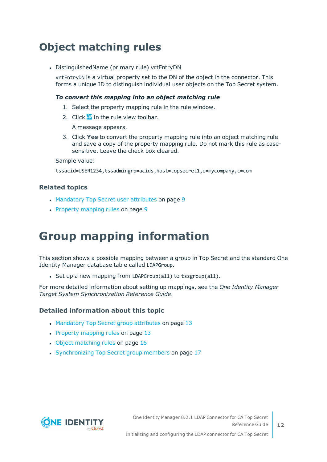### <span id="page-11-0"></span>**Object matching rules**

• DistinguishedName (primary rule) vrtEntryDN

vrtEntryDN is a virtual property set to the DN of the object in the connector. This forms a unique ID to distinguish individual user objects on the Top Secret system.

#### *To convert this mapping into an object matching rule*

- 1. Select the property mapping rule in the rule window.
- 2. Click  $\overline{a}$  in the rule view toolbar.

A message appears.

3. Click **Yes** to convert the property mapping rule into an object matching rule and save a copy of the property mapping rule. Do not mark this rule as casesensitive. Leave the check box cleared.

Sample value:

tssacid=USER1234,tssadmingrp=acids,host=topsecret1,o=mycompany,c=com

#### **Related topics**

- [Mandatory](#page-8-0) Top Secret user attributes on page 9
- <span id="page-11-1"></span>• Property [mapping](#page-8-1) rules on page 9

## **Group mapping information**

This section shows a possible mapping between a group in Top Secret and the standard One Identity Manager database table called LDAPGroup.

• Set up a new mapping from LDAPGroup(all) to tssgroup(all).

For more detailed information about setting up mappings, see the *One Identity Manager Target System Synchronization Reference Guide*.

#### **Detailed information about this topic**

- [Mandatory](#page-12-0) Top Secret group attributes on page 13
- $\cdot$  Property [mapping](#page-12-1) rules on page 13
- Object [matching](#page-15-0) rules on page 16
- [Synchronizing](#page-16-0) Top Secret group members on page 17

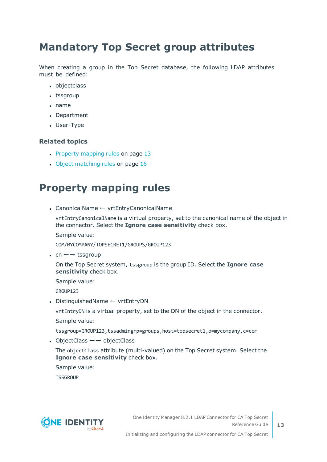### <span id="page-12-0"></span>**Mandatory Top Secret group attributes**

When creating a group in the Top Secret database, the following LDAP attributes must be defined:

- objectclass
- $\cdot$  tssgroup
- $\cdot$  name
- Department
- User-Type

#### **Related topics**

- $\cdot$  Property [mapping](#page-12-1) rules on page 13
- Object [matching](#page-15-0) rules on page 16

### <span id="page-12-1"></span>**Property mapping rules**

• CanonicalName ← vrtEntryCanonicalName

vrtEntryCanonicalName is a virtual property, set to the canonical name of the object in the connector. Select the **Ignore case sensitivity** check box.

Sample value:

COM/MYCOMPANY/TOPSECRET1/GROUPS/GROUP123

• cn  $\leftarrow$  → tssgroup

On the Top Secret system, tssgroup is the group ID. Select the **Ignore case sensitivity** check box.

Sample value:

GROUP123

• DistinguishedName ← vrtEntryDN

vrtEntryDN is a virtual property, set to the DN of the object in the connector.

Sample value:

tssgroup=GROUP123,tssadmingrp=groups,host=topsecret1,o=mycompany,c=com

• ObjectClass  $\leftarrow$  → objectClass

The objectClass attribute (multi-valued) on the Top Secret system. Select the **Ignore case sensitivity** check box.

Sample value:

**TSSGROUP** 



**13**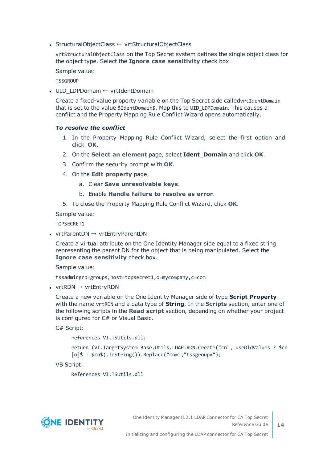• StructuralObjectClass ← vrtStructuralObjectClass

vrtStructuralObjectClass on the Top Secret system defines the single object class for the object type. Select the **Ignore case sensitivity** check box.

Sample value:

**TSSGROUP** 

• UID LDPDomain ← vrtIdentDomain

Create a fixed-value property variable on the Top Secret side calledvrtIdentDomain that is set to the value \$IdentDomain\$. Map this to UID\_LDPDomain. This causes a conflict and the Property Mapping Rule Conflict Wizard opens automatically.

#### *To resolve the conflict*

- 1. In the Property Mapping Rule Conflict Wizard, select the first option and click **OK**.
- 2. On the **Select an element** page, select **Ident\_Domain** and click **OK**.
- 3. Confirm the security prompt with **OK**.
- 4. On the **Edit property** page,
	- a. Clear **Save unresolvable keys**.
	- b. Enable **Handle failure to resolve as error**.
- 5. To close the Property Mapping Rule Conflict Wizard, click **OK**.

Sample value:

TOPSECRET1

• vrtParentDN  $\rightarrow$  vrtEntryParentDN

Create a virtual attribute on the One Identity Manager side equal to a fixed string representing the parent DN for the object that is being manipulated. Select the **Ignore case sensitivity** check box.

Sample value:

tssadmingrp=groups,host=topsecret1,o=mycompany,c=com

• vrtRDN  $\rightarrow$  vrtEntryRDN

Create a new variable on the One Identity Manager side of type **Script Property** with the name vrtRDN and a data type of **String**. In the **Scripts** section, enter one of the following scripts in the **Read script** section, depending on whether your project is configured for C# or Visual Basic.

C# Script:

references VI.TSUtils.dll;

```
return (VI.TargetSystem.Base.Utils.LDAP.RDN.Create("cn", useOldValues ? $cn
[o]$ : $cn$).ToString()).Replace("cn=","tssgroup=");
```
VB Script:

```
References VI.TSUtils.dll
```


**14**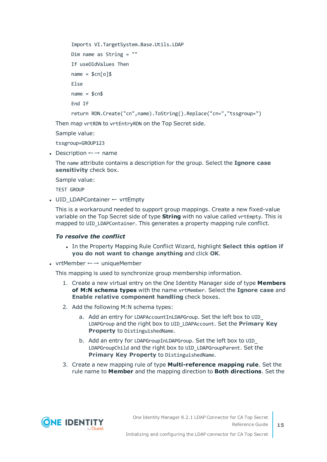```
Imports VI.TargetSystem.Base.Utils.LDAP
Dim name as String = ""
If useOldValues Then
name = $cn[o]$
Else
name = $cn$End If
return RDN.Create("cn",name).ToString().Replace("cn=","tssgroup=")
```
Then map vrtRDN to vrtEntryRDN on the Top Secret side.

Sample value:

tssgroup=GROUP123

• Description  $\leftarrow \rightarrow$  name

The name attribute contains a description for the group. Select the **Ignore case sensitivity** check box.

Sample value:

TEST GROUP

• UID\_LDAPContainer ← vrtEmpty

This is a workaround needed to support group mappings. Create a new fixed-value variable on the Top Secret side of type **String** with no value called vrtEmpty. This is mapped to UID\_LDAPContainer. This generates a property mapping rule conflict.

#### *To resolve the conflict*

- <sup>l</sup> In the Property Mapping Rule Conflict Wizard, highlight **Select this option if you do not want to change anything** and click **OK**.
- vrtMember  $\leftarrow \rightarrow$  uniqueMember

This mapping is used to synchronize group membership information.

- 1. Create a new virtual entry on the One Identity Manager side of type **Members of M:N schema types** with the name vrtMember. Select the **Ignore case** and **Enable relative component handling** check boxes.
- 2. Add the following M:N schema types:
	- a. Add an entry for LDAPAccountInLDAPGroup. Set the left box to UID LDAPGroup and the right box to UID\_LDAPAccount. Set the **Primary Key Property** to DistinguishedName.
	- b. Add an entry for LDAPGroupInLDAPGroup. Set the left box to UID\_ LDAPGroupChild and the right box to UID\_LDAPGroupParent. Set the **Primary Key Property** to DistinguishedName.
- 3. Create a new mapping rule of type **Multi-reference mapping rule**. Set the rule name to **Member** and the mapping direction to **Both directions**. Set the

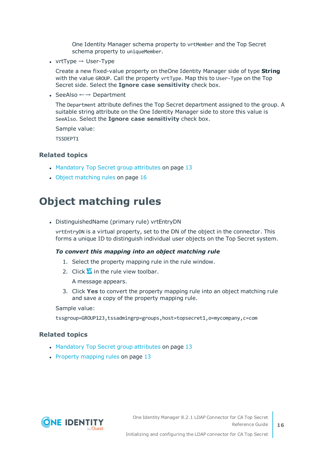One Identity Manager schema property to vrtMember and the Top Secret schema property to uniqueMember.

• vrtType  $\rightarrow$  User-Type

Create a new fixed-value property on theOne Identity Manager side of type **String** with the value GROUP. Call the property vrtType. Map this to User-Type on the Top Secret side. Select the **Ignore case sensitivity** check box.

• SeeAlso  $\leftarrow$  → Department

The Department attribute defines the Top Secret department assigned to the group. A suitable string attribute on the One Identity Manager side to store this value is SeeAlso. Select the **Ignore case sensitivity** check box.

Sample value: TSSDEPT1

#### **Related topics**

- [Mandatory](#page-12-0) Top Secret group attributes on page 13
- Object [matching](#page-15-0) rules on page 16

### <span id="page-15-0"></span>**Object matching rules**

• DistinguishedName (primary rule) vrtEntryDN

vrtEntryDN is a virtual property, set to the DN of the object in the connector. This forms a unique ID to distinguish individual user objects on the Top Secret system.

#### *To convert this mapping into an object matching rule*

- 1. Select the property mapping rule in the rule window.
- 2. Click  $\overline{a}$  in the rule view toolbar.

A message appears.

3. Click **Yes** to convert the property mapping rule into an object matching rule and save a copy of the property mapping rule.

Sample value:

tssgroup=GROUP123,tssadmingrp=groups,host=topsecret1,o=mycompany,c=com

#### **Related topics**

- [Mandatory](#page-12-0) Top Secret group attributes on page 13
- Property [mapping](#page-12-1) rules on page 13

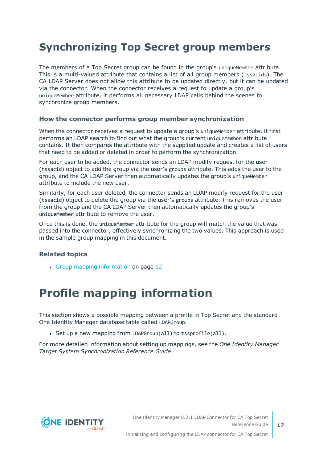### <span id="page-16-0"></span>**Synchronizing Top Secret group members**

The members of a Top Secret group can be found in the group's uniqueMember attribute. This is a multi-valued attribute that contains a list of all group members (tssacids). The CA LDAP Server does not allow this attribute to be updated directly, but it can be updated via the connector. When the connector receives a request to update a group's uniqueMember attribute, it performs all necessary LDAP calls behind the scenes to synchronize group members.

#### **How the connector performs group member synchronization**

When the connector receives a request to update a group's uniqueMember attribute, it first performs an LDAP search to find out what the group's current uniqueMember attribute contains. It then compares the attribute with the supplied update and creates a list of users that need to be added or deleted in order to perform the synchronization.

For each user to be added, the connector sends an LDAP modify request for the user (tssacid) object to add the group via the user's groups attribute. This adds the user to the group, and the CA LDAP Server then automatically updates the group's uniqueMember attribute to include the new user.

Similarly, for each user deleted, the connector sends an LDAP modify request for the user (tssacid) object to delete the group via the user's groups attribute. This removes the user from the group and the CA LDAP Server then automatically updates the group's uniqueMember attribute to remove the user.

Once this is done, the uniqueMember attribute for the group will match the value that was passed into the connector, effectively synchronizing the two values. This approach is used in the sample group mapping in this document.

#### **Related topics**

• Group mapping [information](#page-11-1) on page 12

# <span id="page-16-1"></span>**Profile mapping information**

This section shows a possible mapping between a profile in Top Secret and the standard One Identity Manager database table called LDAPGroup.

• Set up a new mapping from LDAPGroup(all) to tssprofile(all).

For more detailed information about setting up mappings, see the *One Identity Manager Target System Synchronization Reference Guide*.

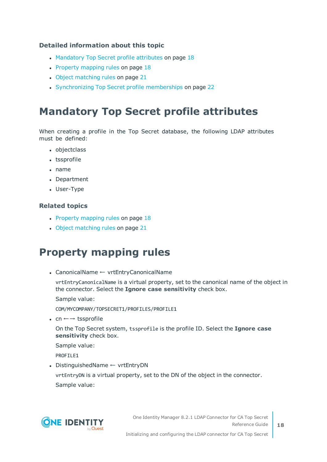#### **Detailed information about this topic**

- [Mandatory](#page-17-0) Top Secret profile attributes on page 18
- Property [mapping](#page-17-1) rules on page 18
- Object [matching](#page-20-0) rules on page 21
- [Synchronizing](#page-21-0) Top Secret profile memberships on page 22

### <span id="page-17-0"></span>**Mandatory Top Secret profile attributes**

When creating a profile in the Top Secret database, the following LDAP attributes must be defined:

- objectclass
- tssprofile
- $\cdot$  name
- Department
- User-Type

#### **Related topics**

- Property [mapping](#page-17-1) rules on page  $18$
- Object [matching](#page-20-0) rules on page 21

### <span id="page-17-1"></span>**Property mapping rules**

• CanonicalName ← vrtEntryCanonicalName

vrtEntryCanonicalName is a virtual property, set to the canonical name of the object in the connector. Select the **Ignore case sensitivity** check box.

Sample value:

COM/MYCOMPANY/TOPSECRET1/PROFILES/PROFILE1

• cn  $\leftarrow$  → tssprofile

On the Top Secret system, tssprofile is the profile ID. Select the **Ignore case sensitivity** check box.

Sample value:

PROFILE1

• DistinguishedName ← vrtEntryDN

vrtEntryDN is a virtual property, set to the DN of the object in the connector. Sample value:



One Identity Manager 8.2.1 LDAP Connector for CA Top Secret Reference Guide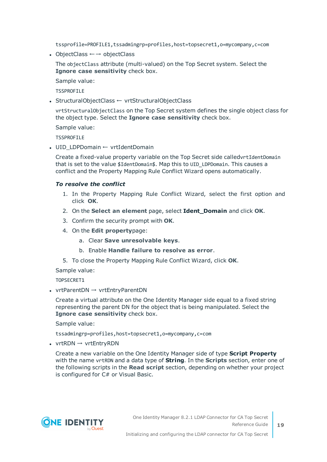tssprofile=PROFILE1,tssadmingrp=profiles,host=topsecret1,o=mycompany,c=com

• ObjectClass  $\leftarrow \rightarrow$  objectClass

The objectClass attribute (multi-valued) on the Top Secret system. Select the **Ignore case sensitivity** check box.

Sample value:

**TSSPROFILE** 

• StructuralObjectClass ← vrtStructuralObjectClass

vrtStructuralObjectClass on the Top Secret system defines the single object class for the object type. Select the **Ignore case sensitivity** check box.

Sample value:

TSSPROFTLE

• UID LDPDomain ← vrtIdentDomain

Create a fixed-value property variable on the Top Secret side calledvrtIdentDomain that is set to the value \$IdentDomain\$. Map this to UID\_LDPDomain. This causes a conflict and the Property Mapping Rule Conflict Wizard opens automatically.

#### *To resolve the conflict*

- 1. In the Property Mapping Rule Conflict Wizard, select the first option and click **OK**.
- 2. On the **Select an element** page, select **Ident\_Domain** and click **OK**.
- 3. Confirm the security prompt with **OK**.
- 4. On the **Edit property**page:
	- a. Clear **Save unresolvable keys**.
	- b. Enable **Handle failure to resolve as error**.
- 5. To close the Property Mapping Rule Conflict Wizard, click **OK**.

Sample value:

TOPSECRET1

• vrtParentDN  $\rightarrow$  vrtEntryParentDN

Create a virtual attribute on the One Identity Manager side equal to a fixed string representing the parent DN for the object that is being manipulated. Select the **Ignore case sensitivity** check box.

Sample value:

tssadmingrp=profiles,host=topsecret1,o=mycompany,c=com

•  $vrtRDN \rightarrow vrtEntryRDN$ 

Create a new variable on the One Identity Manager side of type **Script Property** with the name vrtRDN and a data type of **String**. In the **Scripts** section, enter one of the following scripts in the **Read script** section, depending on whether your project is configured for C# or Visual Basic.

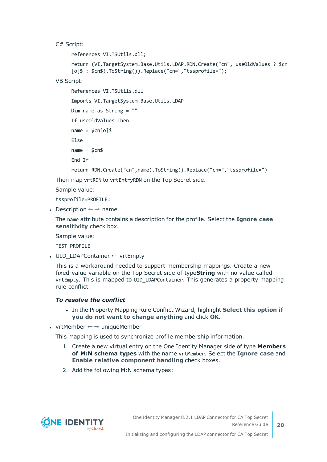C# Script:

```
references VI.TSUtils.dll;
return (VI.TargetSystem.Base.Utils.LDAP.RDN.Create("cn", useOldValues ? $cn
[o]$ : $cn$).ToString()).Replace("cn=","tssprofile=");
```
VB Script:

```
References VI.TSUtils.dll
Imports VI.TargetSystem.Base.Utils.LDAP
Dim name as String = ""
If useOldValues Then
name = $cn[o]$
Else
name = $cn$End If
return RDN.Create("cn",name).ToString().Replace("cn=","tssprofile=")
```
Then map vrtRDN to vrtEntryRDN on the Top Secret side.

Sample value:

tssprofile=PROFILE1

• Description  $\leftarrow$  → name

The name attribute contains a description for the profile. Select the **Ignore case sensitivity** check box.

Sample value:

TEST PROFILE

• UID LDAPContainer ← vrtEmpty

This is a workaround needed to support membership mappings. Create a new fixed-value variable on the Top Secret side of type**String** with no value called vrtEmpty. This is mapped to UID\_LDAPContainer. This generates a property mapping rule conflict.

#### *To resolve the conflict*

- <sup>l</sup> In the Property Mapping Rule Conflict Wizard, highlight **Select this option if you do not want to change anything** and click **OK**.
- vrtMember  $\leftarrow \rightarrow$  uniqueMember

This mapping is used to synchronize profile membership information.

- 1. Create a new virtual entry on the One Identity Manager side of type **Members of M:N schema types** with the name vrtMember. Select the **Ignore case** and **Enable relative component handling** check boxes.
- 2. Add the following M:N schema types:

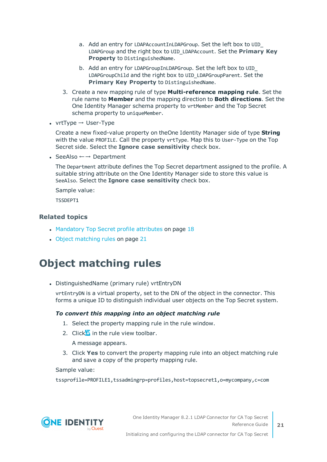- a. Add an entry for LDAPAccountInLDAPGroup. Set the left box to UID\_ LDAPGroup and the right box to UID\_LDAPAccount. Set the **Primary Key Property** to DistinguishedName.
- b. Add an entry for LDAPGroupInLDAPGroup. Set the left box to UID\_ LDAPGroupChild and the right box to UID\_LDAPGroupParent. Set the **Primary Key Property** to DistinguishedName.
- 3. Create a new mapping rule of type **Multi-reference mapping rule**. Set the rule name to **Member** and the mapping direction to **Both directions**. Set the One Identity Manager schema property to vrtMember and the Top Secret schema property to uniqueMember.
- $vrtType \rightarrow User-Type$

Create a new fixed-value property on theOne Identity Manager side of type **String** with the value PROFILE. Call the property vrtType. Map this to User-Type on the Top Secret side. Select the **Ignore case sensitivity** check box.

• SeeAlso  $\leftarrow$  → Department

The Department attribute defines the Top Secret department assigned to the profile. A suitable string attribute on the One Identity Manager side to store this value is SeeAlso. Select the **Ignore case sensitivity** check box.

Sample value:

TSSDEPT1

#### **Related topics**

- [Mandatory](#page-17-0) Top Secret profile attributes on page  $18$
- Object [matching](#page-20-0) rules on page 21

### <span id="page-20-0"></span>**Object matching rules**

• DistinguishedName (primary rule) vrtEntryDN

vrtEntryDN is a virtual property, set to the DN of the object in the connector. This forms a unique ID to distinguish individual user objects on the Top Secret system.

#### *To convert this mapping into an object matching rule*

- 1. Select the property mapping rule in the rule window.
- 2. Click in the rule view toolbar.

A message appears.

3. Click **Yes** to convert the property mapping rule into an object matching rule and save a copy of the property mapping rule.

Sample value:

tssprofile=PROFILE1,tssadmingrp=profiles,host=topsecret1,o=mycompany,c=com

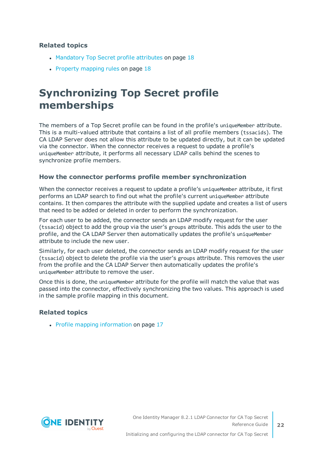#### **Related topics**

- [Mandatory](#page-17-0) Top Secret profile attributes on page 18
- Property [mapping](#page-17-1) rules on page  $18$

### <span id="page-21-0"></span>**Synchronizing Top Secret profile memberships**

The members of a Top Secret profile can be found in the profile's uniqueMember attribute. This is a multi-valued attribute that contains a list of all profile members (tssacids). The CA LDAP Server does not allow this attribute to be updated directly, but it can be updated via the connector. When the connector receives a request to update a profile's uniqueMember attribute, it performs all necessary LDAP calls behind the scenes to synchronize profile members.

#### **How the connector performs profile member synchronization**

When the connector receives a request to update a profile's uniqueMember attribute, it first performs an LDAP search to find out what the profile's current uniqueMember attribute contains. It then compares the attribute with the supplied update and creates a list of users that need to be added or deleted in order to perform the synchronization.

For each user to be added, the connector sends an LDAP modify request for the user (tssacid) object to add the group via the user's groups attribute. This adds the user to the profile, and the CA LDAP Server then automatically updates the profile's uniqueMember attribute to include the new user.

Similarly, for each user deleted, the connector sends an LDAP modify request for the user (tssacid) object to delete the profile via the user's groups attribute. This removes the user from the profile and the CA LDAP Server then automatically updates the profile's uniqueMember attribute to remove the user.

Once this is done, the uniqueMember attribute for the profile will match the value that was passed into the connector, effectively synchronizing the two values. This approach is used in the sample profile mapping in this document.

#### **Related topics**

• Profile mapping [information](#page-16-1) on page 17

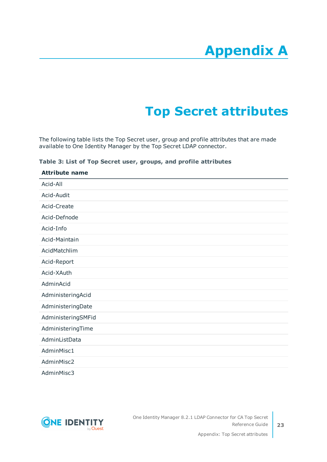# **Appendix A**

# **Appendix:Top Secret attributes**

<span id="page-22-0"></span>The following table lists the Top Secret user, group and profile attributes that are made available to One Identity Manager by the Top Secret LDAP connector.

| Table 3: List of Top Secret user, groups, and profile attributes |  |  |  |  |  |  |  |
|------------------------------------------------------------------|--|--|--|--|--|--|--|
|------------------------------------------------------------------|--|--|--|--|--|--|--|

| <b>Attribute name</b> |  |
|-----------------------|--|
| Acid-All              |  |
| Acid-Audit            |  |
| Acid-Create           |  |
| Acid-Defnode          |  |
| Acid-Info             |  |
| Acid-Maintain         |  |
| AcidMatchlim          |  |
| Acid-Report           |  |
| Acid-XAuth            |  |
| AdminAcid             |  |
| AdministeringAcid     |  |
| AdministeringDate     |  |
| AdministeringSMFid    |  |
| AdministeringTime     |  |
| AdminListData         |  |
| AdminMisc1            |  |
| AdminMisc2            |  |
| AdminMisc3            |  |

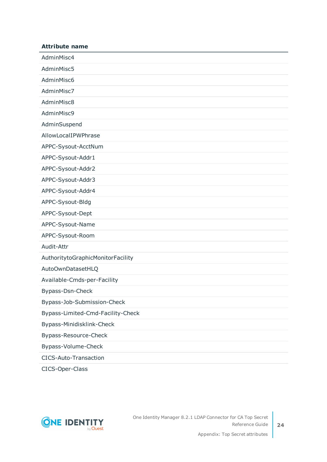| <b>Attribute name</b>             |
|-----------------------------------|
| AdminMisc4                        |
| AdminMisc5                        |
| AdminMisc6                        |
| AdminMisc7                        |
| AdminMisc8                        |
| AdminMisc9                        |
| AdminSuspend                      |
| AllowLocalIPWPhrase               |
| APPC-Sysout-AcctNum               |
| APPC-Sysout-Addr1                 |
| APPC-Sysout-Addr2                 |
| APPC-Sysout-Addr3                 |
| APPC-Sysout-Addr4                 |
| APPC-Sysout-Bldg                  |
| APPC-Sysout-Dept                  |
| APPC-Sysout-Name                  |
| APPC-Sysout-Room                  |
| Audit-Attr                        |
| AuthoritytoGraphicMonitorFacility |
| AutoOwnDatasetHLQ                 |
| Available-Cmds-per-Facility       |
| Bypass-Dsn-Check                  |
| Bypass-Job-Submission-Check       |
| Bypass-Limited-Cmd-Facility-Check |
| Bypass-Minidisklink-Check         |
| Bypass-Resource-Check             |
| Bypass-Volume-Check               |
| <b>CICS-Auto-Transaction</b>      |

CICS-Oper-Class

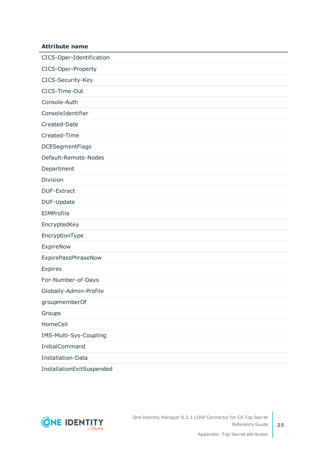### CICS-Oper-Identification CICS-Oper-Property CICS-Security-Key CICS-Time-Out Console-Auth ConsoleIdentifier Created-Date Created-Time DCESegmentFlags Default-Remote-Nodes Department Division DUF-Extract DUF-Update EIMProfile EncryptedKey

EncryptionType

**Attribute name**

ExpireNow

ExpirePassPhraseNow

Expires

For-Number-of-Days

Globally-Admin-Profile

groupmemberOf

Groups

HomeCell

IMS-Multi-Sys-Coupling

InitialCommand

Installation-Data

InstallationExitSuspended

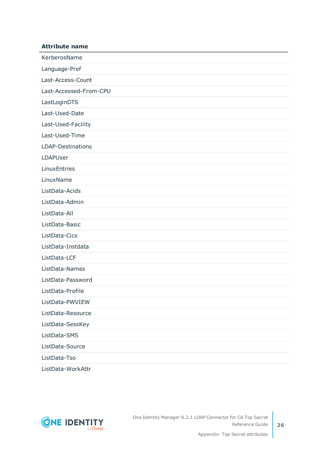| <b>Attribute name</b>  |
|------------------------|
| KerberosName           |
| Language-Pref          |
| Last-Access-Count      |
| Last-Accessed-From-CPU |
| LastLoginDTS           |
| Last-Used-Date         |
| Last-Used-Facility     |
| Last-Used-Time         |
| LDAP-Destinations      |
| LDAPUser               |
| LinuxEntries           |
| LinuxName              |
| ListData-Acids         |
| ListData-Admin         |
| ListData-All           |
| ListData-Basic         |
| ListData-Cics          |
| ListData-Instdata      |
| ListData-LCF           |
| ListData-Names         |
| ListData-Password      |
| ListData-Profile       |
| ListData-PWVIEW        |
| ListData-Resource      |
| ListData-SessKey       |
| ListData-SMS           |
| ListData-Source        |
| ListData-Tso           |
|                        |

ListData-WorkAttr

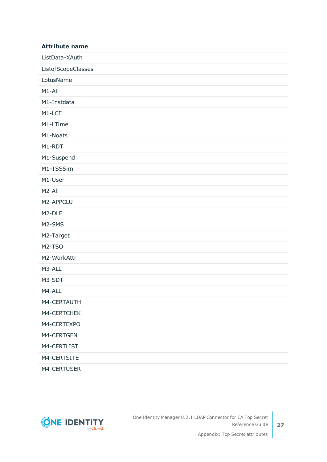| <b>Attribute name</b> |
|-----------------------|
| ListData-XAuth        |
| ListofScopeClasses    |
| LotusName             |
| M1-All                |
| M1-Instdata           |
| M1-LCF                |
| M1-LTime              |
| M1-Noats              |
| M1-RDT                |
| M1-Suspend            |
| M1-TSSSim             |
| M1-User               |
| M <sub>2</sub> -All   |
| M2-APPCLU             |
| M2-DLF                |
| M2-SMS                |
| M2-Target             |
| M2-TSO                |
| M2-WorkAttr           |
| M3-ALL                |
| M3-SDT                |
| M4-ALL                |
| M4-CERTAUTH           |
| M4-CERTCHEK           |
| M4-CERTEXPO           |
| M4-CERTGEN            |
| M4-CERTLIST           |
| M4-CERTSITE           |
| M4-CERTUSER           |

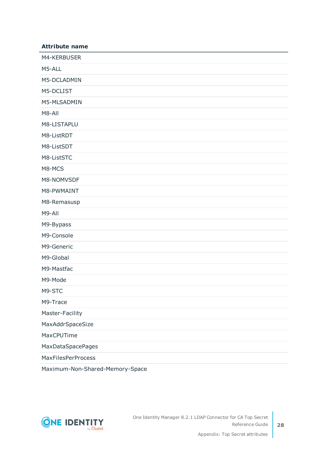| <b>Attribute name</b>     |
|---------------------------|
| M4-KERBUSER               |
| M5-ALL                    |
| M5-DCLADMIN               |
| M5-DCLIST                 |
| M5-MLSADMIN               |
| M8-All                    |
| M8-LISTAPLU               |
| M8-ListRDT                |
| M8-ListSDT                |
| M8-ListSTC                |
| M8-MCS                    |
| M8-NOMVSDF                |
| M8-PWMAINT                |
| M8-Remasusp               |
| M9-All                    |
| M9-Bypass                 |
| M9-Console                |
| M9-Generic                |
| M9-Global                 |
| M9-Mastfac                |
| M9-Mode                   |
| M9-STC                    |
| M9-Trace                  |
| Master-Facility           |
| MaxAddrSpaceSize          |
| MaxCPUTime                |
| MaxDataSpacePages         |
| <b>MaxFilesPerProcess</b> |

Maximum-Non-Shared-Memory-Space

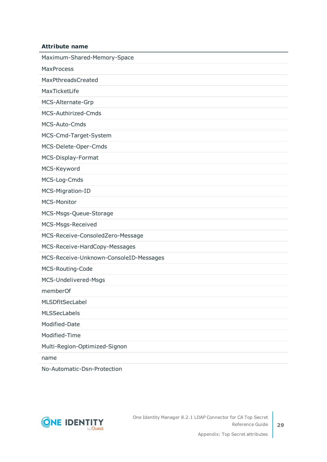#### **Attribute name**

| Maximum-Shared-Memory-Space            |
|----------------------------------------|
| <b>MaxProcess</b>                      |
| MaxPthreadsCreated                     |
| MaxTicketLife                          |
| MCS-Alternate-Grp                      |
| MCS-Authirized-Cmds                    |
| MCS-Auto-Cmds                          |
| MCS-Cmd-Target-System                  |
| MCS-Delete-Oper-Cmds                   |
| MCS-Display-Format                     |
| MCS-Keyword                            |
| MCS-Log-Cmds                           |
| MCS-Migration-ID                       |
| <b>MCS-Monitor</b>                     |
| MCS-Msgs-Queue-Storage                 |
| MCS-Msgs-Received                      |
| MCS-Receive-ConsoledZero-Message       |
| MCS-Receive-HardCopy-Messages          |
| MCS-Receive-Unknown-ConsoleID-Messages |
| MCS-Routing-Code                       |
| MCS-Undelivered-Msgs                   |
| memberOf                               |
| MLSDfltSecLabel                        |
| <b>MLSSecLabels</b>                    |
| Modified-Date                          |
|                                        |
| Modified-Time                          |
| Multi-Region-Optimized-Signon          |

No-Automatic-Dsn-Protection

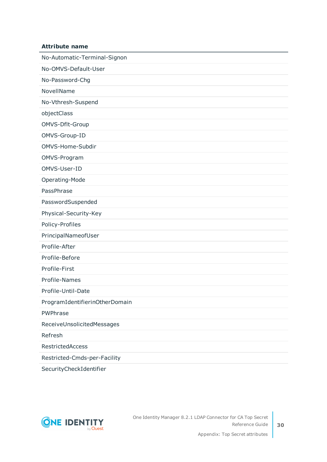#### **Attribute name**

No-Automatic-Terminal-Signon

No-OMVS-Default-User

No-Password-Chg

NovellName

No-Vthresh-Suspend

objectClass

OMVS-Dflt-Group

OMVS-Group-ID

OMVS-Home-Subdir

OMVS-Program

OMVS-User-ID

Operating-Mode

PassPhrase

PasswordSuspended

Physical-Security-Key

Policy-Profiles

PrincipalNameofUser

Profile-After

Profile-Before

Profile-First

Profile-Names

Profile-Until-Date

ProgramIdentifierinOtherDomain

PWPhrase

ReceiveUnsolicitedMessages

Refresh

RestrictedAccess

Restricted-Cmds-per-Facility

SecurityCheckIdentifier

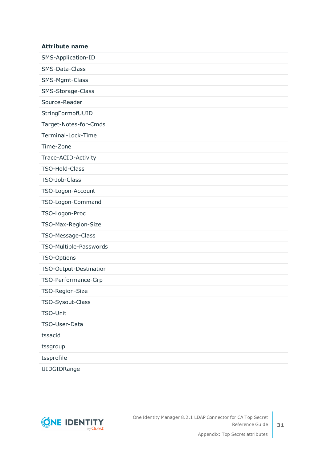### **Attribute name** SMS-Application-ID SMS-Data-Class SMS-Mgmt-Class SMS-Storage-Class Source-Reader StringFormofUUID Target-Notes-for-Cmds Terminal-Lock-Time Time-Zone Trace-ACID-Activity TSO-Hold-Class TSO-Job-Class TSO-Logon-Account TSO-Logon-Command TSO-Logon-Proc TSO-Max-Region-Size TSO-Message-Class TSO-Multiple-Passwords TSO-Options TSO-Output-Destination TSO-Performance-Grp TSO-Region-Size TSO-Sysout-Class TSO-Unit TSO-User-Data tssacid tssgroup tssprofile

UIDGIDRange

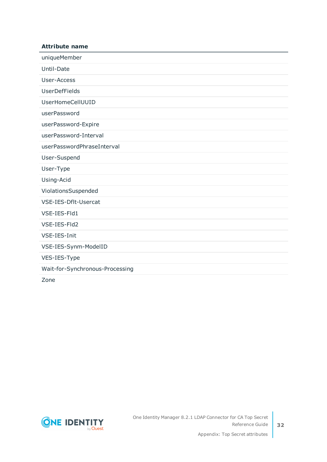#### **Attribute name**

uniqueMember

Until-Date

User-Access

UserDefFields

UserHomeCellUUID

userPassword

userPassword-Expire

userPassword-Interval

userPasswordPhraseInterval

User-Suspend

User-Type

Using-Acid

ViolationsSuspended

VSE-IES-Dflt-Usercat

VSE-IES-Fld1

VSE-IES-Fld2

VSE-IES-Init

VSE-IES-Synm-ModelID

VES-IES-Type

Wait-for-Synchronous-Processing

Zone